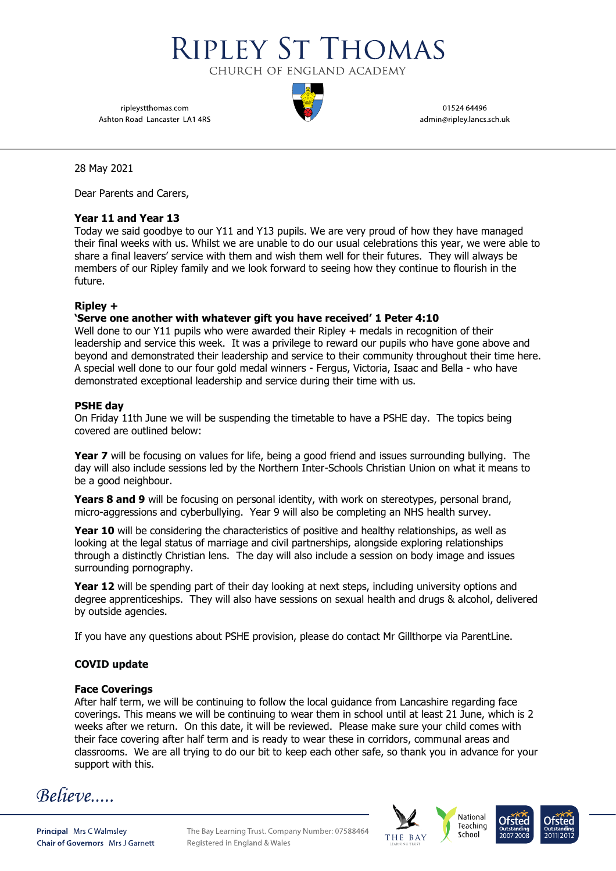CHURCH OF ENGLAND ACADEMY

**RIPLEY ST THOMAS** 

ripleystthomas.com Ashton Road Lancaster LA1 4RS

01524 64496 admin@ripley.lancs.sch.uk

28 May 2021

Dear Parents and Carers,

### **Year 11 and Year 13**

Today we said goodbye to our Y11 and Y13 pupils. We are very proud of how they have managed their final weeks with us. Whilst we are unable to do our usual celebrations this year, we were able to share a final leavers' service with them and wish them well for their futures. They will always be members of our Ripley family and we look forward to seeing how they continue to flourish in the future.

### **Ripley +**

## **'Serve one another with whatever gift you have received' 1 Peter 4:10**

Well done to our Y11 pupils who were awarded their Ripley + medals in recognition of their leadership and service this week. It was a privilege to reward our pupils who have gone above and beyond and demonstrated their leadership and service to their community throughout their time here. A special well done to our four gold medal winners - Fergus, Victoria, Isaac and Bella - who have demonstrated exceptional leadership and service during their time with us.

### **PSHE day**

On Friday 11th June we will be suspending the timetable to have a PSHE day. The topics being covered are outlined below:

**Year 7** will be focusing on values for life, being a good friend and issues surrounding bullying. The day will also include sessions led by the Northern Inter-Schools Christian Union on what it means to be a good neighbour.

**Years 8 and 9** will be focusing on personal identity, with work on stereotypes, personal brand, micro-aggressions and cyberbullying. Year 9 will also be completing an NHS health survey.

**Year 10** will be considering the characteristics of positive and healthy relationships, as well as looking at the legal status of marriage and civil partnerships, alongside exploring relationships through a distinctly Christian lens. The day will also include a session on body image and issues surrounding pornography.

**Year 12** will be spending part of their day looking at next steps, including university options and degree apprenticeships. They will also have sessions on sexual health and drugs & alcohol, delivered by outside agencies.

If you have any questions about PSHE provision, please do contact Mr Gillthorpe via ParentLine.

# **COVID update**

### **Face Coverings**

After half term, we will be continuing to follow the local guidance from Lancashire regarding face coverings. This means we will be continuing to wear them in school until at least 21 June, which is 2 weeks after we return. On this date, it will be reviewed. Please make sure your child comes with their face covering after half term and is ready to wear these in corridors, communal areas and classrooms. We are all trying to do our bit to keep each other safe, so thank you in advance for your support with this.

Believe....

Principal Mrs C Walmsley **Chair of Governors** Mrs J Garnett The Bay Learning Trust. Company Number: 07588464 Registered in England & Wales